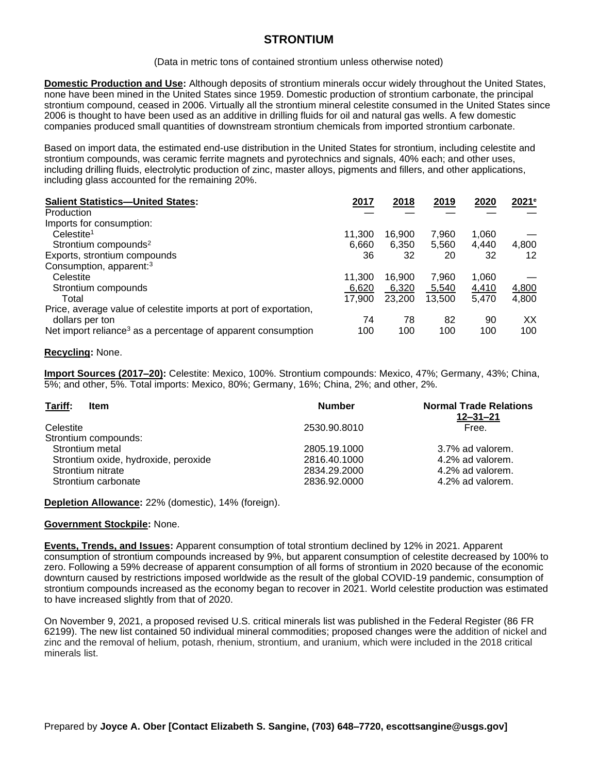# **STRONTIUM**

(Data in metric tons of contained strontium unless otherwise noted)

**Domestic Production and Use:** Although deposits of strontium minerals occur widely throughout the United States, none have been mined in the United States since 1959. Domestic production of strontium carbonate, the principal strontium compound, ceased in 2006. Virtually all the strontium mineral celestite consumed in the United States since 2006 is thought to have been used as an additive in drilling fluids for oil and natural gas wells. A few domestic companies produced small quantities of downstream strontium chemicals from imported strontium carbonate.

Based on import data, the estimated end-use distribution in the United States for strontium, including celestite and strontium compounds, was ceramic ferrite magnets and pyrotechnics and signals, 40% each; and other uses, including drilling fluids, electrolytic production of zinc, master alloys, pigments and fillers, and other applications, including glass accounted for the remaining 20%.

| <b>Salient Statistics-United States:</b>                                 | 2017   | 2018   | 2019   | 2020  | 2021e |
|--------------------------------------------------------------------------|--------|--------|--------|-------|-------|
| Production                                                               |        |        |        |       |       |
| Imports for consumption:                                                 |        |        |        |       |       |
| Celestite <sup>1</sup>                                                   | 11.300 | 16.900 | 7,960  | 1,060 |       |
| Strontium compounds <sup>2</sup>                                         | 6,660  | 6,350  | 5,560  | 4.440 | 4,800 |
| Exports, strontium compounds                                             | 36     | 32     | 20     | 32    | 12    |
| Consumption, apparent: <sup>3</sup>                                      |        |        |        |       |       |
| Celestite                                                                | 11.300 | 16.900 | 7,960  | 1,060 |       |
| Strontium compounds                                                      | 6,620  | 6,320  | 5,540  | 4,410 | 4,800 |
| Total                                                                    | 17.900 | 23,200 | 13,500 | 5.470 | 4,800 |
| Price, average value of celestite imports at port of exportation,        |        |        |        |       |       |
| dollars per ton                                                          | 74     | 78     | 82     | 90    | XX    |
| Net import reliance <sup>3</sup> as a percentage of apparent consumption | 100    | 100    | 100    | 100   | 100   |

## **Recycling:** None.

**Import Sources (2017–20):** Celestite: Mexico, 100%. Strontium compounds: Mexico, 47%; Germany, 43%; China, 5%; and other, 5%. Total imports: Mexico, 80%; Germany, 16%; China, 2%; and other, 2%.

| <b>Number</b> | <b>Normal Trade Relations</b><br>$12 - 31 - 21$ |
|---------------|-------------------------------------------------|
| 2530.90.8010  | Free.                                           |
|               |                                                 |
| 2805.19.1000  | 3.7% ad valorem.                                |
| 2816.40.1000  | 4.2% ad valorem.                                |
| 2834.29.2000  | 4.2% ad valorem.                                |
| 2836.92.0000  | 4.2% ad valorem.                                |
|               |                                                 |

**Depletion Allowance:** 22% (domestic), 14% (foreign).

## **Government Stockpile:** None.

**Events, Trends, and Issues:** Apparent consumption of total strontium declined by 12% in 2021. Apparent consumption of strontium compounds increased by 9%, but apparent consumption of celestite decreased by 100% to zero. Following a 59% decrease of apparent consumption of all forms of strontium in 2020 because of the economic downturn caused by restrictions imposed worldwide as the result of the global COVID-19 pandemic, consumption of strontium compounds increased as the economy began to recover in 2021. World celestite production was estimated to have increased slightly from that of 2020.

On November 9, 2021, a proposed revised U.S. critical minerals list was published in the Federal Register (86 FR 62199). The new list contained 50 individual mineral commodities; proposed changes were the addition of nickel and zinc and the removal of helium, potash, rhenium, strontium, and uranium, which were included in the 2018 critical minerals list.